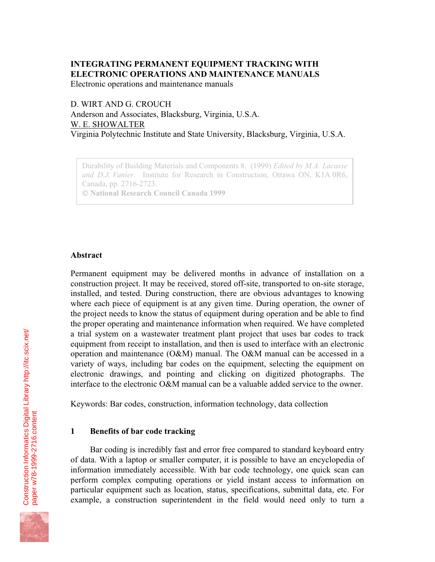# **INTEGRATING PERMANENT EQUIPMENT TRACKING WITH ELECTRONIC OPERATIONS AND MAINTENANCE MANUALS**

Electronic operations and maintenance manuals

D. WIRT AND G. CROUCH Anderson and Associates, Blacksburg, Virginia, U.S.A. W. E. SHOWALTER Virginia Polytechnic Institute and State University, Blacksburg, Virginia, U.S.A.

Durability of Building Materials and Components 8. (1999) *Edited by M.A. Lacasse and D.J. Vanier*. Institute for Research in Construction, Ottawa ON, K1A 0R6, Canada, pp. 2716-2723.  **National Research Council Canada 1999**

### **Abstract**

Permanent equipment may be delivered months in advance of installation on a construction project. It may be received, stored off-site, transported to on-site storage, installed, and tested. During construction, there are obvious advantages to knowing where each piece of equipment is at any given time. During operation, the owner of the project needs to know the status of equipment during operation and be able to find the proper operating and maintenance information when required. We have completed a trial system on a wastewater treatment plant project that uses bar codes to track equipment from receipt to installation, and then is used to interface with an electronic operation and maintenance (O&M) manual. The O&M manual can be accessed in a variety of ways, including bar codes on the equipment, selecting the equipment on electronic drawings, and pointing and clicking on digitized photographs. The interface to the electronic O&M manual can be a valuable added service to the owner.

Keywords: Bar codes, construction, information technology, data collection

### **1 Benefits of bar code tracking**

Bar coding is incredibly fast and error free compared to standard keyboard entry of data. With a laptop or smaller computer, it is possible to have an encyclopedia of information immediately accessible. With bar code technology, one quick scan can perform complex computing operations or yield instant access to information on particular equipment such as location, status, specifications, submittal data, etc. For example, a construction superintendent in the field would need only to turn a

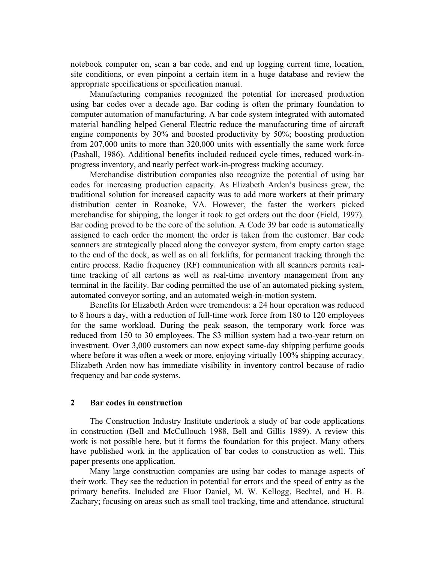notebook computer on, scan a bar code, and end up logging current time, location, site conditions, or even pinpoint a certain item in a huge database and review the appropriate specifications or specification manual.

Manufacturing companies recognized the potential for increased production using bar codes over a decade ago. Bar coding is often the primary foundation to computer automation of manufacturing. A bar code system integrated with automated material handling helped General Electric reduce the manufacturing time of aircraft engine components by 30% and boosted productivity by 50%; boosting production from 207,000 units to more than 320,000 units with essentially the same work force (Pashall, 1986). Additional benefits included reduced cycle times, reduced work-inprogress inventory, and nearly perfect work-in-progress tracking accuracy.

Merchandise distribution companies also recognize the potential of using bar codes for increasing production capacity. As Elizabeth Arden's business grew, the traditional solution for increased capacity was to add more workers at their primary distribution center in Roanoke, VA. However, the faster the workers picked merchandise for shipping, the longer it took to get orders out the door (Field, 1997). Bar coding proved to be the core of the solution. A Code 39 bar code is automatically assigned to each order the moment the order is taken from the customer. Bar code scanners are strategically placed along the conveyor system, from empty carton stage to the end of the dock, as well as on all forklifts, for permanent tracking through the entire process. Radio frequency (RF) communication with all scanners permits realtime tracking of all cartons as well as real-time inventory management from any terminal in the facility. Bar coding permitted the use of an automated picking system, automated conveyor sorting, and an automated weigh-in-motion system.

Benefits for Elizabeth Arden were tremendous: a 24 hour operation was reduced to 8 hours a day, with a reduction of full-time work force from 180 to 120 employees for the same workload. During the peak season, the temporary work force was reduced from 150 to 30 employees. The \$3 million system had a two-year return on investment. Over 3,000 customers can now expect same-day shipping perfume goods where before it was often a week or more, enjoying virtually 100% shipping accuracy. Elizabeth Arden now has immediate visibility in inventory control because of radio frequency and bar code systems.

## **2 Bar codes in construction**

The Construction Industry Institute undertook a study of bar code applications in construction (Bell and McCullouch 1988, Bell and Gillis 1989). A review this work is not possible here, but it forms the foundation for this project. Many others have published work in the application of bar codes to construction as well. This paper presents one application.

Many large construction companies are using bar codes to manage aspects of their work. They see the reduction in potential for errors and the speed of entry as the primary benefits. Included are Fluor Daniel, M. W. Kellogg, Bechtel, and H. B. Zachary; focusing on areas such as small tool tracking, time and attendance, structural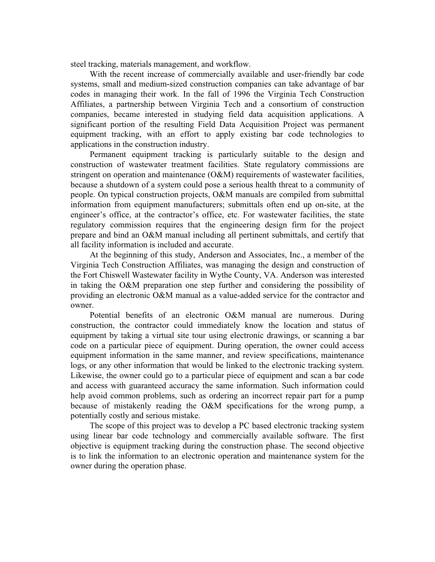steel tracking, materials management, and workflow.

With the recent increase of commercially available and user-friendly bar code systems, small and medium-sized construction companies can take advantage of bar codes in managing their work. In the fall of 1996 the Virginia Tech Construction Affiliates, a partnership between Virginia Tech and a consortium of construction companies, became interested in studying field data acquisition applications. A significant portion of the resulting Field Data Acquisition Project was permanent equipment tracking, with an effort to apply existing bar code technologies to applications in the construction industry.

Permanent equipment tracking is particularly suitable to the design and construction of wastewater treatment facilities. State regulatory commissions are stringent on operation and maintenance (O&M) requirements of wastewater facilities, because a shutdown of a system could pose a serious health threat to a community of people. On typical construction projects, O&M manuals are compiled from submittal information from equipment manufacturers; submittals often end up on-site, at the engineer's office, at the contractor's office, etc. For wastewater facilities, the state regulatory commission requires that the engineering design firm for the project prepare and bind an O&M manual including all pertinent submittals, and certify that all facility information is included and accurate.

At the beginning of this study, Anderson and Associates, Inc., a member of the Virginia Tech Construction Affiliates, was managing the design and construction of the Fort Chiswell Wastewater facility in Wythe County, VA. Anderson was interested in taking the O&M preparation one step further and considering the possibility of providing an electronic O&M manual as a value-added service for the contractor and owner.

Potential benefits of an electronic O&M manual are numerous. During construction, the contractor could immediately know the location and status of equipment by taking a virtual site tour using electronic drawings, or scanning a bar code on a particular piece of equipment. During operation, the owner could access equipment information in the same manner, and review specifications, maintenance logs, or any other information that would be linked to the electronic tracking system. Likewise, the owner could go to a particular piece of equipment and scan a bar code and access with guaranteed accuracy the same information. Such information could help avoid common problems, such as ordering an incorrect repair part for a pump because of mistakenly reading the O&M specifications for the wrong pump, a potentially costly and serious mistake.

The scope of this project was to develop a PC based electronic tracking system using linear bar code technology and commercially available software. The first objective is equipment tracking during the construction phase. The second objective is to link the information to an electronic operation and maintenance system for the owner during the operation phase.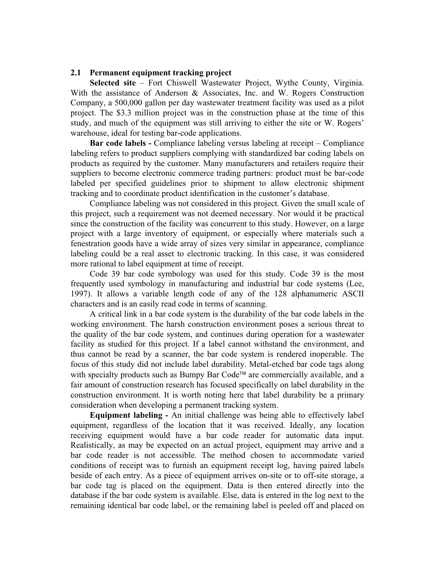## **2.1 Permanent equipment tracking project**

**Selected site** – Fort Chiswell Wastewater Project, Wythe County, Virginia. With the assistance of Anderson & Associates, Inc. and W. Rogers Construction Company, a 500,000 gallon per day wastewater treatment facility was used as a pilot project. The \$3.3 million project was in the construction phase at the time of this study, and much of the equipment was still arriving to either the site or W. Rogers' warehouse, ideal for testing bar-code applications.

**Bar code labels -** Compliance labeling versus labeling at receipt – Compliance labeling refers to product suppliers complying with standardized bar coding labels on products as required by the customer. Many manufacturers and retailers require their suppliers to become electronic commerce trading partners: product must be bar-code labeled per specified guidelines prior to shipment to allow electronic shipment tracking and to coordinate product identification in the customer's database.

Compliance labeling was not considered in this project. Given the small scale of this project, such a requirement was not deemed necessary. Nor would it be practical since the construction of the facility was concurrent to this study. However, on a large project with a large inventory of equipment, or especially where materials such a fenestration goods have a wide array of sizes very similar in appearance, compliance labeling could be a real asset to electronic tracking. In this case, it was considered more rational to label equipment at time of receipt.

Code 39 bar code symbology was used for this study. Code 39 is the most frequently used symbology in manufacturing and industrial bar code systems (Lee, 1997). It allows a variable length code of any of the 128 alphanumeric ASCII characters and is an easily read code in terms of scanning.

A critical link in a bar code system is the durability of the bar code labels in the working environment. The harsh construction environment poses a serious threat to the quality of the bar code system, and continues during operation for a wastewater facility as studied for this project. If a label cannot withstand the environment, and thus cannot be read by a scanner, the bar code system is rendered inoperable. The focus of this study did not include label durability. Metal-etched bar code tags along with specialty products such as Bumpy Bar Code<sup> $\mathsf{m}$ </sup> are commercially available, and a fair amount of construction research has focused specifically on label durability in the construction environment. It is worth noting here that label durability be a primary consideration when developing a permanent tracking system.

**Equipment labeling -** An initial challenge was being able to effectively label equipment, regardless of the location that it was received. Ideally, any location receiving equipment would have a bar code reader for automatic data input. Realistically, as may be expected on an actual project, equipment may arrive and a bar code reader is not accessible. The method chosen to accommodate varied conditions of receipt was to furnish an equipment receipt log, having paired labels beside of each entry. As a piece of equipment arrives on-site or to off-site storage, a bar code tag is placed on the equipment. Data is then entered directly into the database if the bar code system is available. Else, data is entered in the log next to the remaining identical bar code label, or the remaining label is peeled off and placed on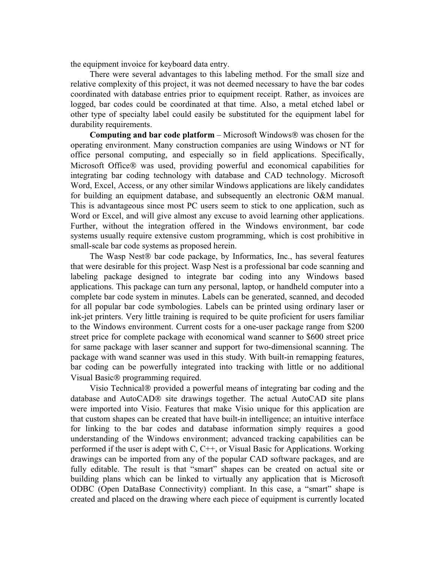the equipment invoice for keyboard data entry.

There were several advantages to this labeling method. For the small size and relative complexity of this project, it was not deemed necessary to have the bar codes coordinated with database entries prior to equipment receipt. Rather, as invoices are logged, bar codes could be coordinated at that time. Also, a metal etched label or other type of specialty label could easily be substituted for the equipment label for durability requirements.

**Computing and bar code platform** – Microsoft Windows was chosen for the operating environment. Many construction companies are using Windows or NT for office personal computing, and especially so in field applications. Specifically, Microsoft Office® was used, providing powerful and economical capabilities for integrating bar coding technology with database and CAD technology. Microsoft Word, Excel, Access, or any other similar Windows applications are likely candidates for building an equipment database, and subsequently an electronic O&M manual. This is advantageous since most PC users seem to stick to one application, such as Word or Excel, and will give almost any excuse to avoid learning other applications. Further, without the integration offered in the Windows environment, bar code systems usually require extensive custom programming, which is cost prohibitive in small-scale bar code systems as proposed herein.

The Wasp Nest<sup>®</sup> bar code package, by Informatics, Inc., has several features that were desirable for this project. Wasp Nest is a professional bar code scanning and labeling package designed to integrate bar coding into any Windows based applications. This package can turn any personal, laptop, or handheld computer into a complete bar code system in minutes. Labels can be generated, scanned, and decoded for all popular bar code symbologies. Labels can be printed using ordinary laser or ink-jet printers. Very little training is required to be quite proficient for users familiar to the Windows environment. Current costs for a one-user package range from \$200 street price for complete package with economical wand scanner to \$600 street price for same package with laser scanner and support for two-dimensional scanning. The package with wand scanner was used in this study. With built-in remapping features, bar coding can be powerfully integrated into tracking with little or no additional Visual Basic<sup>®</sup> programming required.

Visio Technical<sup>®</sup> provided a powerful means of integrating bar coding and the database and AutoCAD® site drawings together. The actual AutoCAD site plans were imported into Visio. Features that make Visio unique for this application are that custom shapes can be created that have built-in intelligence; an intuitive interface for linking to the bar codes and database information simply requires a good understanding of the Windows environment; advanced tracking capabilities can be performed if the user is adept with C, C++, or Visual Basic for Applications. Working drawings can be imported from any of the popular CAD software packages, and are fully editable. The result is that "smart" shapes can be created on actual site or building plans which can be linked to virtually any application that is Microsoft ODBC (Open DataBase Connectivity) compliant. In this case, a "smart" shape is created and placed on the drawing where each piece of equipment is currently located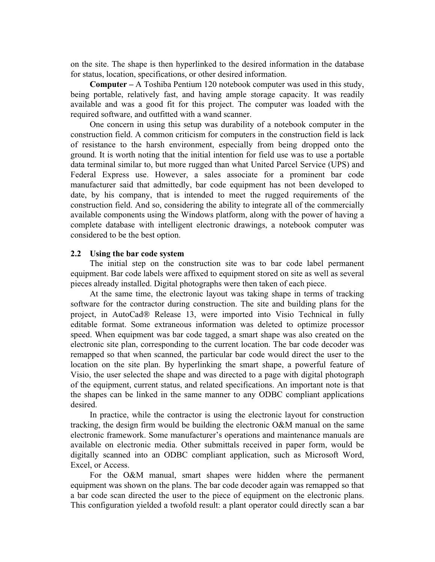on the site. The shape is then hyperlinked to the desired information in the database for status, location, specifications, or other desired information.

**Computer –** A Toshiba Pentium 120 notebook computer was used in this study, being portable, relatively fast, and having ample storage capacity. It was readily available and was a good fit for this project. The computer was loaded with the required software, and outfitted with a wand scanner.

One concern in using this setup was durability of a notebook computer in the construction field. A common criticism for computers in the construction field is lack of resistance to the harsh environment, especially from being dropped onto the ground. It is worth noting that the initial intention for field use was to use a portable data terminal similar to, but more rugged than what United Parcel Service (UPS) and Federal Express use. However, a sales associate for a prominent bar code manufacturer said that admittedly, bar code equipment has not been developed to date, by his company, that is intended to meet the rugged requirements of the construction field. And so, considering the ability to integrate all of the commercially available components using the Windows platform, along with the power of having a complete database with intelligent electronic drawings, a notebook computer was considered to be the best option.

# **2.2 Using the bar code system**

The initial step on the construction site was to bar code label permanent equipment. Bar code labels were affixed to equipment stored on site as well as several pieces already installed. Digital photographs were then taken of each piece.

At the same time, the electronic layout was taking shape in terms of tracking software for the contractor during construction. The site and building plans for the project, in AutoCad® Release 13, were imported into Visio Technical in fully editable format. Some extraneous information was deleted to optimize processor speed. When equipment was bar code tagged, a smart shape was also created on the electronic site plan, corresponding to the current location. The bar code decoder was remapped so that when scanned, the particular bar code would direct the user to the location on the site plan. By hyperlinking the smart shape, a powerful feature of Visio, the user selected the shape and was directed to a page with digital photograph of the equipment, current status, and related specifications. An important note is that the shapes can be linked in the same manner to any ODBC compliant applications desired.

In practice, while the contractor is using the electronic layout for construction tracking, the design firm would be building the electronic O&M manual on the same electronic framework. Some manufacturer's operations and maintenance manuals are available on electronic media. Other submittals received in paper form, would be digitally scanned into an ODBC compliant application, such as Microsoft Word, Excel, or Access.

For the O&M manual, smart shapes were hidden where the permanent equipment was shown on the plans. The bar code decoder again was remapped so that a bar code scan directed the user to the piece of equipment on the electronic plans. This configuration yielded a twofold result: a plant operator could directly scan a bar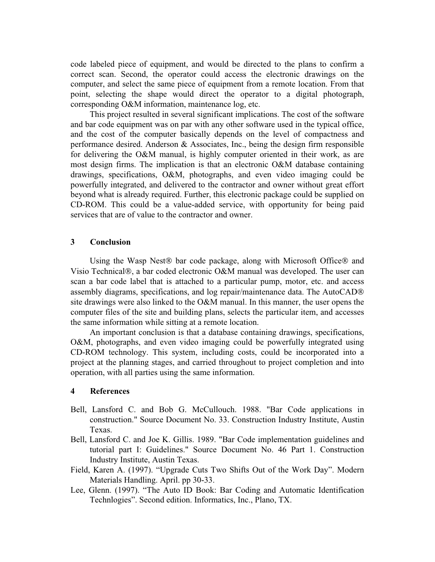code labeled piece of equipment, and would be directed to the plans to confirm a correct scan. Second, the operator could access the electronic drawings on the computer, and select the same piece of equipment from a remote location. From that point, selecting the shape would direct the operator to a digital photograph, corresponding O&M information, maintenance log, etc.

This project resulted in several significant implications. The cost of the software and bar code equipment was on par with any other software used in the typical office, and the cost of the computer basically depends on the level of compactness and performance desired. Anderson & Associates, Inc., being the design firm responsible for delivering the O&M manual, is highly computer oriented in their work, as are most design firms. The implication is that an electronic O&M database containing drawings, specifications, O&M, photographs, and even video imaging could be powerfully integrated, and delivered to the contractor and owner without great effort beyond what is already required. Further, this electronic package could be supplied on CD-ROM. This could be a value-added service, with opportunity for being paid services that are of value to the contractor and owner.

## **3 Conclusion**

Using the Wasp Nest<sup>®</sup> bar code package, along with Microsoft Office<sup>®</sup> and Visio Technical®, a bar coded electronic O&M manual was developed. The user can scan a bar code label that is attached to a particular pump, motor, etc. and access assembly diagrams, specifications, and log repair/maintenance data. The AutoCAD site drawings were also linked to the O&M manual. In this manner, the user opens the computer files of the site and building plans, selects the particular item, and accesses the same information while sitting at a remote location.

An important conclusion is that a database containing drawings, specifications, O&M, photographs, and even video imaging could be powerfully integrated using CD-ROM technology. This system, including costs, could be incorporated into a project at the planning stages, and carried throughout to project completion and into operation, with all parties using the same information.

# **4 References**

- Bell, Lansford C. and Bob G. McCullouch. 1988. "Bar Code applications in construction." Source Document No. 33. Construction Industry Institute, Austin Texas.
- Bell, Lansford C. and Joe K. Gillis. 1989. "Bar Code implementation guidelines and tutorial part I: Guidelines." Source Document No. 46 Part 1. Construction Industry Institute, Austin Texas.
- Field, Karen A. (1997). "Upgrade Cuts Two Shifts Out of the Work Day". Modern Materials Handling. April. pp 30-33.
- Lee, Glenn. (1997). "The Auto ID Book: Bar Coding and Automatic Identification Technlogies". Second edition. Informatics, Inc., Plano, TX.